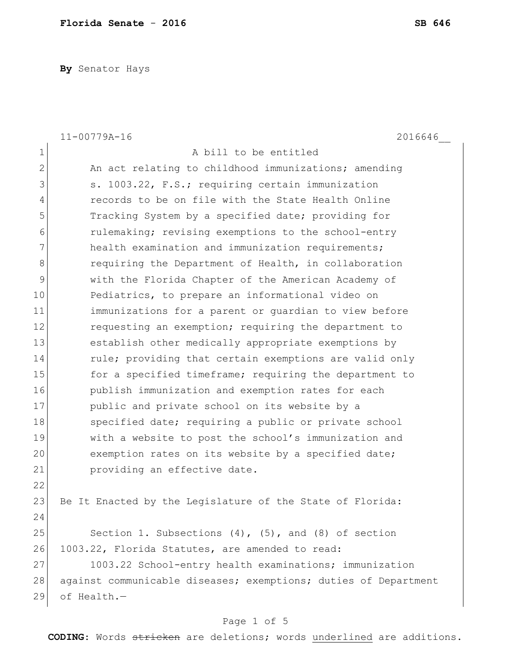**By** Senator Hays

|                | $11 - 00779A - 16$<br>2016646                                   |
|----------------|-----------------------------------------------------------------|
| $\mathbf 1$    | A bill to be entitled                                           |
| $\mathbf{2}$   | An act relating to childhood immunizations; amending            |
| 3              | s. 1003.22, F.S.; requiring certain immunization                |
| $\overline{4}$ | records to be on file with the State Health Online              |
| 5              | Tracking System by a specified date; providing for              |
| 6              | rulemaking; revising exemptions to the school-entry             |
| 7              | health examination and immunization requirements;               |
| $\,8\,$        | requiring the Department of Health, in collaboration            |
| $\mathcal{G}$  | with the Florida Chapter of the American Academy of             |
| 10             | Pediatrics, to prepare an informational video on                |
| 11             | immunizations for a parent or guardian to view before           |
| 12             | requesting an exemption; requiring the department to            |
| 13             | establish other medically appropriate exemptions by             |
| 14             | rule; providing that certain exemptions are valid only          |
| 15             | for a specified timeframe; requiring the department to          |
| 16             | publish immunization and exemption rates for each               |
| 17             | public and private school on its website by a                   |
| 18             | specified date; requiring a public or private school            |
| 19             | with a website to post the school's immunization and            |
| 20             | exemption rates on its website by a specified date;             |
| 21             | providing an effective date.                                    |
| 22             |                                                                 |
| 23             | Be It Enacted by the Legislature of the State of Florida:       |
| 24             |                                                                 |
| 25             | Section 1. Subsections $(4)$ , $(5)$ , and $(8)$ of section     |
| 26             | 1003.22, Florida Statutes, are amended to read:                 |
| 27             | 1003.22 School-entry health examinations; immunization          |
| 28             | against communicable diseases; exemptions; duties of Department |
| 29             | of Health.-                                                     |
|                |                                                                 |

### Page 1 of 5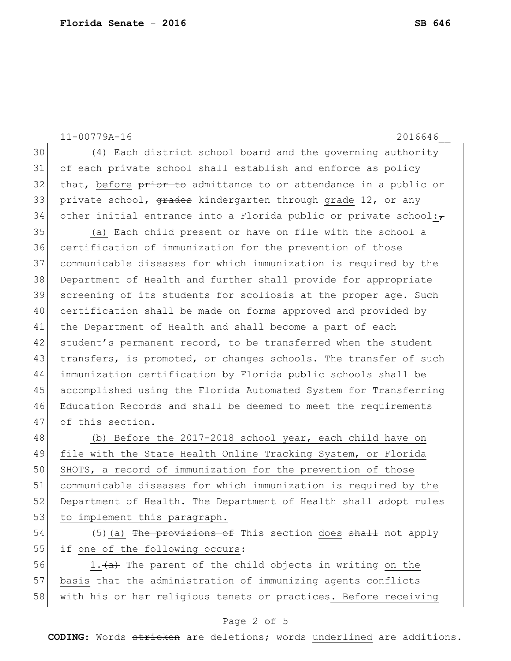11-00779A-16 2016646\_\_ 30 (4) Each district school board and the governing authority 31 of each private school shall establish and enforce as policy 32 that, before prior to admittance to or attendance in a public or 33 private school, <del>grades</del> kindergarten through grade 12, or any 34 other initial entrance into a Florida public or private school: $\overline{t}$ 35 (a) Each child present or have on file with the school a 36 certification of immunization for the prevention of those 37 communicable diseases for which immunization is required by the 38 Department of Health and further shall provide for appropriate 39 screening of its students for scoliosis at the proper age. Such 40 certification shall be made on forms approved and provided by 41 the Department of Health and shall become a part of each 42 student's permanent record, to be transferred when the student 43 transfers, is promoted, or changes schools. The transfer of such 44 immunization certification by Florida public schools shall be 45 accomplished using the Florida Automated System for Transferring 46 Education Records and shall be deemed to meet the requirements 47 of this section. 48 (b) Before the 2017-2018 school year, each child have on 49 file with the State Health Online Tracking System, or Florida

50 SHOTS, a record of immunization for the prevention of those 51 communicable diseases for which immunization is required by the 52 Department of Health. The Department of Health shall adopt rules 53 to implement this paragraph.

54 (5)(a) The provisions of This section does shall not apply 55 if one of the following occurs:

 $56$  1.  $\overline{a}$  The parent of the child objects in writing on the 57 basis that the administration of immunizing agents conflicts 58 with his or her religious tenets or practices. Before receiving

### Page 2 of 5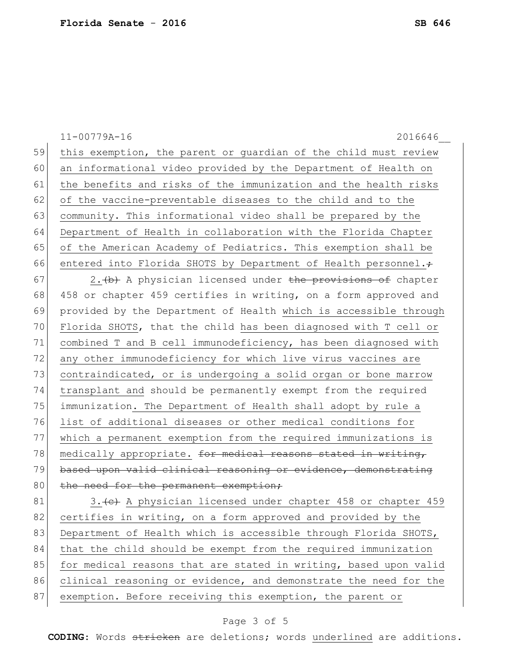|    | $11 - 00779A - 16$<br>2016646                                    |
|----|------------------------------------------------------------------|
| 59 | this exemption, the parent or guardian of the child must review  |
| 60 | an informational video provided by the Department of Health on   |
| 61 | the benefits and risks of the immunization and the health risks  |
| 62 | of the vaccine-preventable diseases to the child and to the      |
| 63 | community. This informational video shall be prepared by the     |
| 64 | Department of Health in collaboration with the Florida Chapter   |
| 65 | of the American Academy of Pediatrics. This exemption shall be   |
| 66 | entered into Florida SHOTS by Department of Health personnel.+   |
| 67 | 2. (b) A physician licensed under the provisions of chapter      |
| 68 | 458 or chapter 459 certifies in writing, on a form approved and  |
| 69 | provided by the Department of Health which is accessible through |
| 70 | Florida SHOTS, that the child has been diagnosed with T cell or  |
| 71 | combined T and B cell immunodeficiency, has been diagnosed with  |
| 72 | any other immunodeficiency for which live virus vaccines are     |
| 73 | contraindicated, or is undergoing a solid organ or bone marrow   |
| 74 | transplant and should be permanently exempt from the required    |
| 75 | immunization. The Department of Health shall adopt by rule a     |
| 76 | list of additional diseases or other medical conditions for      |
| 77 | which a permanent exemption from the required immunizations is   |
| 78 | medically appropriate. for medical reasons stated in writing,    |
| 79 | based upon valid clinical reasoning or evidence, demonstrating   |
| 80 | the need for the permanent exemption;                            |
| 81 | 3. (e) A physician licensed under chapter 458 or chapter 459     |
| 82 | certifies in writing, on a form approved and provided by the     |
| 83 | Department of Health which is accessible through Florida SHOTS,  |
| 84 | that the child should be exempt from the required immunization   |
| 85 | for medical reasons that are stated in writing, based upon valid |
| 86 | clinical reasoning or evidence, and demonstrate the need for the |
| 87 | exemption. Before receiving this exemption, the parent or        |

# Page 3 of 5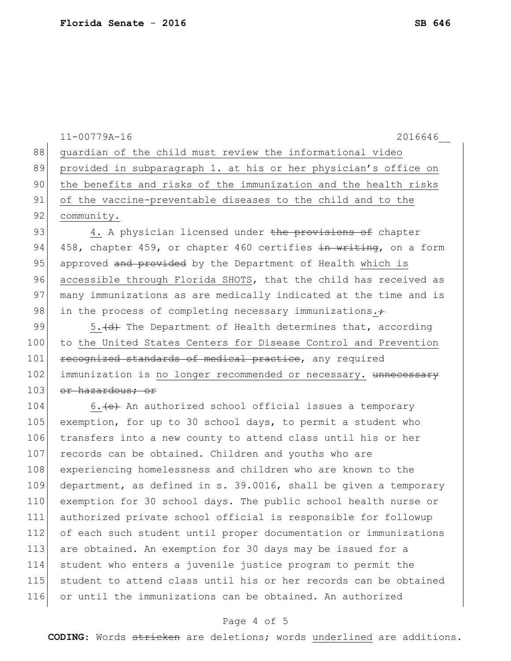|     | $11 - 00779A - 16$<br>2016646                                    |
|-----|------------------------------------------------------------------|
| 88  | guardian of the child must review the informational video        |
| 89  | provided in subparagraph 1. at his or her physician's office on  |
| 90  | the benefits and risks of the immunization and the health risks  |
| 91  | of the vaccine-preventable diseases to the child and to the      |
| 92  | community.                                                       |
| 93  | 4. A physician licensed under the provisions of chapter          |
| 94  | 458, chapter 459, or chapter 460 certifies in writing, on a form |
| 95  | approved and provided by the Department of Health which is       |
| 96  | accessible through Florida SHOTS, that the child has received as |
| 97  | many immunizations as are medically indicated at the time and is |
| 98  | in the process of completing necessary immunizations.+           |
| 99  | 5. (d) The Department of Health determines that, according       |
| 100 | to the United States Centers for Disease Control and Prevention  |
| 101 | recognized standards of medical practice, any required           |
| 102 | immunization is no longer recommended or necessary. unnecessary  |
| 103 | or hazardous; or                                                 |
| 104 | 6. (e) An authorized school official issues a temporary          |
| 105 | exemption, for up to 30 school days, to permit a student who     |
| 106 | transfers into a new county to attend class until his or her     |
| 107 | records can be obtained. Children and youths who are             |
| 108 | experiencing homelessness and children who are known to the      |
| 109 | department, as defined in s. 39.0016, shall be given a temporary |
| 110 | exemption for 30 school days. The public school health nurse or  |
| 111 | authorized private school official is responsible for followup   |
| 112 | of each such student until proper documentation or immunizations |
| 113 | are obtained. An exemption for 30 days may be issued for a       |
| 114 | student who enters a juvenile justice program to permit the      |
| 115 | student to attend class until his or her records can be obtained |
| 116 | or until the immunizations can be obtained. An authorized        |

# Page 4 of 5